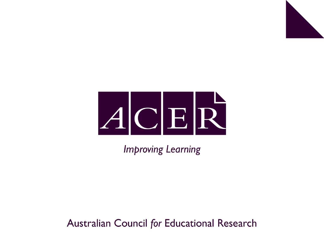

# $A$ C $E$  $R$

**Improving Learning** 

**Australian Council for Educational Research**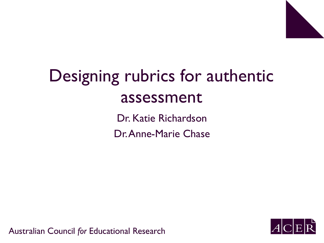

### Designing rubrics for authentic assessment

Dr. Katie Richardson Dr. Anne-Marie Chase

**Australian Council for Educational Research** 

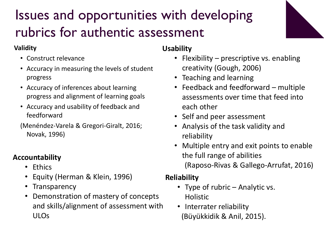#### Issues and opportunities with developing rubrics for authentic assessment

#### **Validity**

- Construct relevance
- Accuracy in measuring the levels of student progress
- Accuracy of inferences about learning progress and alignment of learning goals
- Accuracy and usability of feedback and feedforward

(Menéndez-Varela & Gregori-Giralt, 2016; Novak, 1996)

#### **Accountability**

- Ethics
- Equity (Herman & Klein, 1996)
- Transparency
- Demonstration of mastery of concepts and skills/alignment of assessment with ULOs

#### **Usability**

- Flexibility prescriptive vs. enabling creativity (Gough, 2006)
- Teaching and learning
- Feedback and feedforward multiple assessments over time that feed into each other
- Self and peer assessment
- Analysis of the task validity and reliability
- Multiple entry and exit points to enable the full range of abilities (Raposo-Rivas & Gallego-Arrufat, 2016)

#### **Reliability**

- Type of rubric Analytic vs. Holistic
- Interrater reliability (Büyükkidik & Anil, 2015).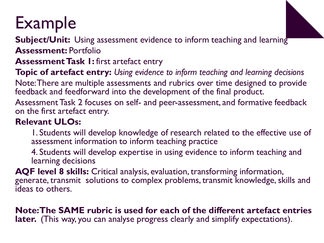### Example

**Subject/Unit:** Using assessment evidence to inform teaching and learning **Assessment:** Portfolio

**Assessment Task 1:** first artefact entry

**Topic of artefact entry:** *Using evidence to inform teaching and learning decisions*  Note: There are multiple assessments and rubrics over time designed to provide feedback and feedforward into the development of the final product.

Assessment Task 2 focuses on self- and peer-assessment, and formative feedback on the first artefact entry.

#### **Relevant ULOs:**

1. Students will develop knowledge of research related to the effective use of assessment information to inform teaching practice

4. Students will develop expertise in using evidence to inform teaching and learning decisions

**AQF level 8 skills:** Critical analysis, evaluation, transforming information, generate, transmit solutions to complex problems, transmit knowledge, skills and ideas to others.

#### **Note: The SAME rubric is used for each of the different artefact entries**  later. (This way, you can analyse progress clearly and simplify expectations).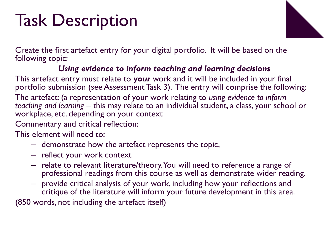### Task Description



Create the first artefact entry for your digital portfolio. It will be based on the following topic:

#### *Using evidence to inform teaching and learning decisions*

This artefact entry must relate to *your* work and it will be included in your final portfolio submission (see Assessment Task 3). The entry will comprise the following:

The artefact: (a representation of your work relating to *using evidence to inform teaching and learning* – this may relate to an individual student, a class, your school or workplace, etc. depending on your context

Commentary and critical reflection:

This element will need to:

- demonstrate how the artefact represents the topic,
- reflect your work context
- relate to relevant literature/theory. You will need to reference a range of professional readings from this course as well as demonstrate wider reading.
- provide critical analysis of your work, including how your reflections and critique of the literature will inform your future development in this area.

(850 words, not including the artefact itself)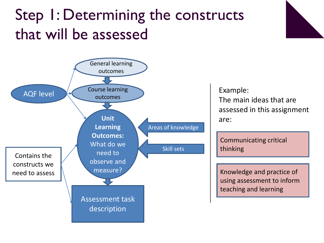### Step 1: Determining the constructs that will be assessed





The main ideas that are assessed in this assignment are:

Communicating critical thinking

Knowledge and practice of using assessment to inform teaching and learning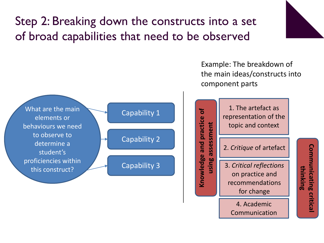#### Step 2: Breaking down the constructs into a set of broad capabilities that need to be observed



4. Academic Communication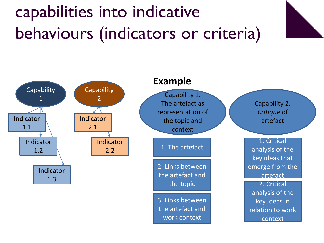# capabilities into indicative behaviours (indicators or criteria)



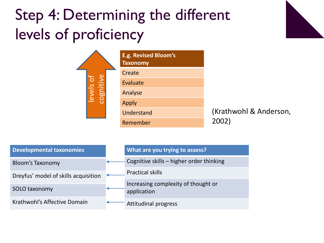### Step 4: Determining the different levels of proficiency



|           | <b>E.g. Revised Bloom's</b><br><b>Taxonomy</b> |  |
|-----------|------------------------------------------------|--|
|           | Create                                         |  |
| cognitive | Evaluate                                       |  |
| levels    | Analyse                                        |  |
|           | Apply                                          |  |
|           | Understand                                     |  |
|           | Remember                                       |  |

athwohl & Anderson, 2002)

| <b>Developmental taxonomies</b>      | What are you trying to assess?                     |  |  |
|--------------------------------------|----------------------------------------------------|--|--|
| <b>Bloom's Taxonomy</b>              | Cognitive skills - higher order thinking           |  |  |
| Dreyfus' model of skills acquisition | <b>Practical skills</b>                            |  |  |
| SOLO taxonomy                        | Increasing complexity of thought or<br>application |  |  |
| Krathwohl's Affective Domain         | Attitudinal progress                               |  |  |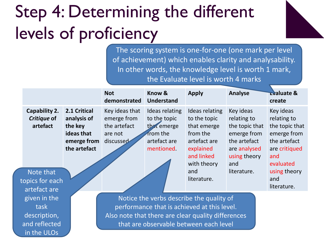## Step 4: Determining the different levels of proficiency



The scoring system is one-for-one (one mark per level of achievement) which enables clarity and analysability. In other words, the knowledge level is worth 1 mark, the Evaluate level is worth 4 marks

|                                                                      |                                                                                     | <b>Not</b><br>demonstrated                                                                                                                                                              | Know &<br><b>Understand</b>                                                            | <b>Apply</b>                                                                                                        | <b>Analyse</b>                                                                                                   | Evaluate &<br>create                                                                                           |  |  |
|----------------------------------------------------------------------|-------------------------------------------------------------------------------------|-----------------------------------------------------------------------------------------------------------------------------------------------------------------------------------------|----------------------------------------------------------------------------------------|---------------------------------------------------------------------------------------------------------------------|------------------------------------------------------------------------------------------------------------------|----------------------------------------------------------------------------------------------------------------|--|--|
| Capability 2.<br>Critique of<br>artefact                             | 2.1 Critical<br>analysis of<br>the key<br>ideas that<br>emerge from<br>the artefact | Key ideas that<br>emerge from<br>the artefact<br>are not<br>discussed                                                                                                                   | Ideas relating<br>to the topic<br>that emerge<br>from the<br>artefact are<br>mentioned | Ideas relating<br>to the topic<br>that emerge<br>from the<br>artefact are<br>explained<br>and linked<br>with theory | Key ideas<br>relating to<br>the topic that<br>emerge from<br>the artefact<br>are analysed<br>using theory<br>and | Key ideas<br>relating to<br>the topic that<br>emerge from<br>the artefact<br>are critiqued<br>and<br>evaluated |  |  |
| Note that<br>topics for each<br>artefact are                         |                                                                                     |                                                                                                                                                                                         |                                                                                        | and<br>literature.                                                                                                  | literature.                                                                                                      | using theory<br>and<br>literature.                                                                             |  |  |
| given in the<br>task<br>description,<br>and reflected<br>in the ULOs |                                                                                     | Notice the verbs describe the quality of<br>performance that is achieved at this level.<br>Also note that there are clear quality differences<br>that are observable between each level |                                                                                        |                                                                                                                     |                                                                                                                  |                                                                                                                |  |  |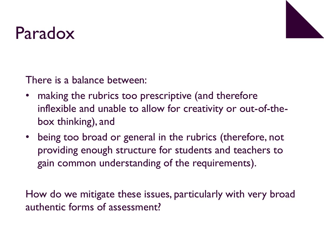### Paradox



There is a balance between:

- making the rubrics too prescriptive (and therefore inflexible and unable to allow for creativity or out-of-thebox thinking), and
- being too broad or general in the rubrics (therefore, not providing enough structure for students and teachers to gain common understanding of the requirements).

How do we mitigate these issues, particularly with very broad authentic forms of assessment?